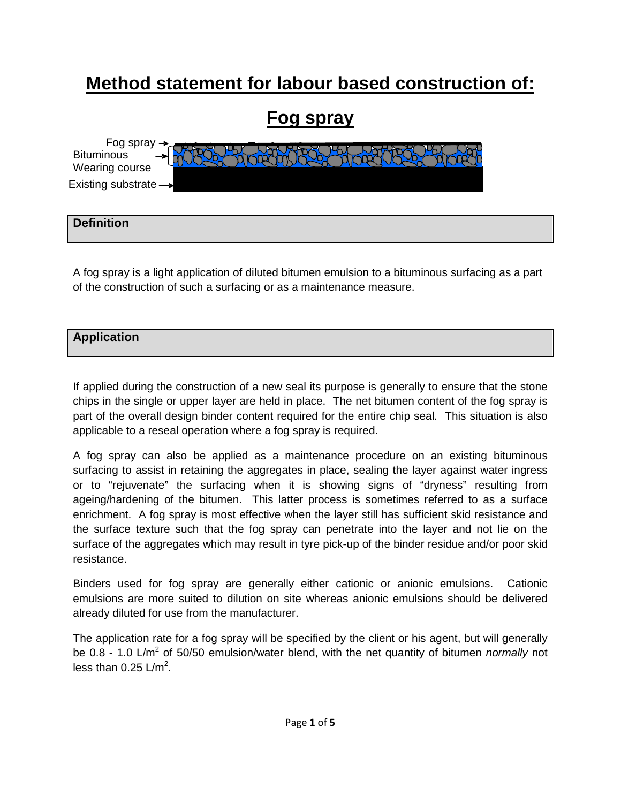# **Method statement for labour based construction of:**

# **Fog spray**

**Bituminous** Wearing course Fog spray Existing substrate

# **Definition**

A fog spray is a light application of diluted bitumen emulsion to a bituminous surfacing as a part of the construction of such a surfacing or as a maintenance measure.

### **Application**

If applied during the construction of a new seal its purpose is generally to ensure that the stone chips in the single or upper layer are held in place. The net bitumen content of the fog spray is part of the overall design binder content required for the entire chip seal. This situation is also applicable to a reseal operation where a fog spray is required.

A fog spray can also be applied as a maintenance procedure on an existing bituminous surfacing to assist in retaining the aggregates in place, sealing the layer against water ingress or to "rejuvenate" the surfacing when it is showing signs of "dryness" resulting from ageing/hardening of the bitumen. This latter process is sometimes referred to as a surface enrichment. A fog spray is most effective when the layer still has sufficient skid resistance and the surface texture such that the fog spray can penetrate into the layer and not lie on the surface of the aggregates which may result in tyre pick-up of the binder residue and/or poor skid resistance.

Binders used for fog spray are generally either cationic or anionic emulsions. Cationic emulsions are more suited to dilution on site whereas anionic emulsions should be delivered already diluted for use from the manufacturer.

The application rate for a fog spray will be specified by the client or his agent, but will generally be 0.8 - 1.0  $\text{L/m}^2$  of 50/50 emulsion/water blend, with the net quantity of bitumen *normally* not less than  $0.25$  L/m<sup>2</sup>.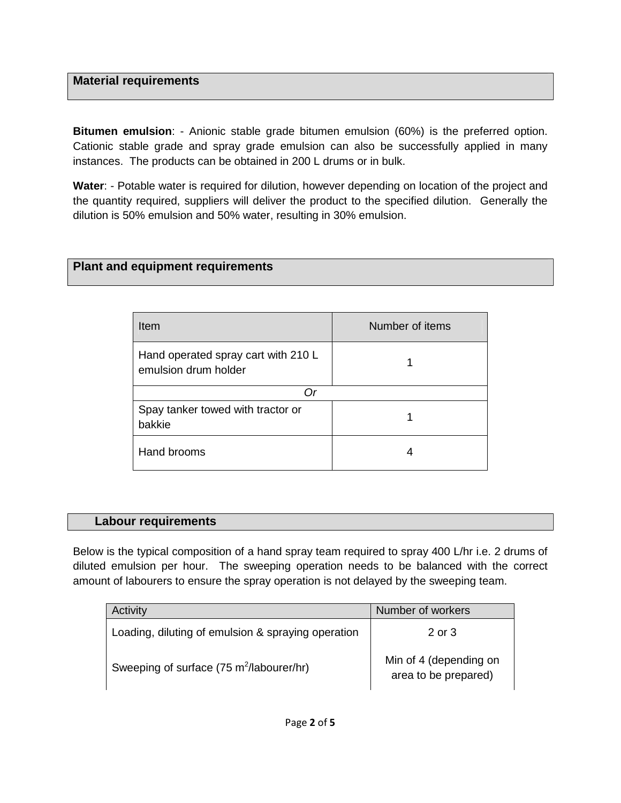### **Material requirements**

**Bitumen emulsion**: - Anionic stable grade bitumen emulsion (60%) is the preferred option. Cationic stable grade and spray grade emulsion can also be successfully applied in many instances. The products can be obtained in 200 L drums or in bulk.

**Water**: - Potable water is required for dilution, however depending on location of the project and the quantity required, suppliers will deliver the product to the specified dilution. Generally the dilution is 50% emulsion and 50% water, resulting in 30% emulsion.

# **Plant and equipment requirements**

| Item                                                        | Number of items |
|-------------------------------------------------------------|-----------------|
| Hand operated spray cart with 210 L<br>emulsion drum holder |                 |
|                                                             |                 |
| Spay tanker towed with tractor or<br>bakkie                 |                 |
| Hand brooms                                                 |                 |

#### **Labour requirements**

Below is the typical composition of a hand spray team required to spray 400 L/hr i.e. 2 drums of diluted emulsion per hour. The sweeping operation needs to be balanced with the correct amount of labourers to ensure the spray operation is not delayed by the sweeping team.

| Activity                                                 | Number of workers                              |
|----------------------------------------------------------|------------------------------------------------|
| Loading, diluting of emulsion & spraying operation       | 2 or 3                                         |
| Sweeping of surface $(75 \text{ m}^2/\text{laborer/hr})$ | Min of 4 (depending on<br>area to be prepared) |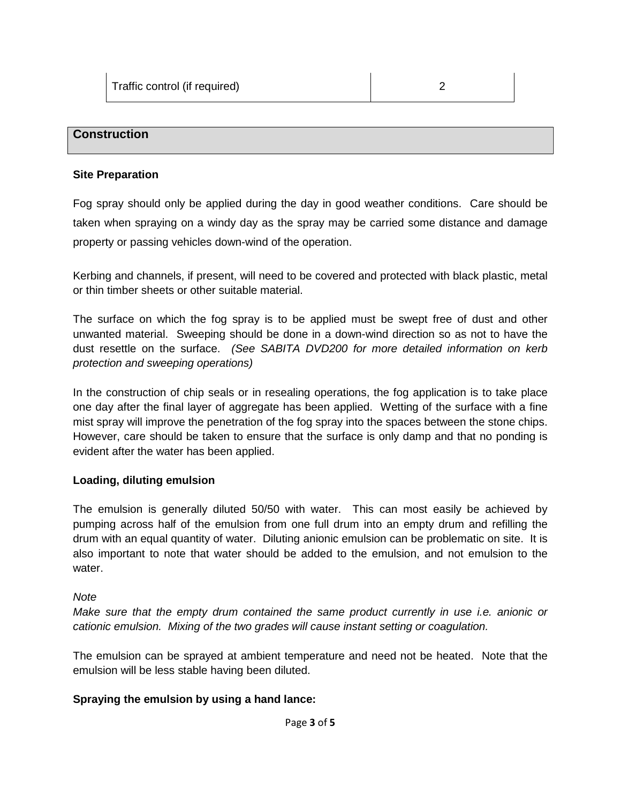#### **Construction**

#### **Site Preparation**

Fog spray should only be applied during the day in good weather conditions. Care should be taken when spraying on a windy day as the spray may be carried some distance and damage property or passing vehicles down-wind of the operation.

Kerbing and channels, if present, will need to be covered and protected with black plastic, metal or thin timber sheets or other suitable material.

The surface on which the fog spray is to be applied must be swept free of dust and other unwanted material. Sweeping should be done in a down-wind direction so as not to have the dust resettle on the surface. (See SABITA DVD200 for more detailed information on kerb protection and sweeping operations)

In the construction of chip seals or in resealing operations, the fog application is to take place one day after the final layer of aggregate has been applied. Wetting of the surface with a fine mist spray will improve the penetration of the fog spray into the spaces between the stone chips. However, care should be taken to ensure that the surface is only damp and that no ponding is evident after the water has been applied.

#### **Loading, diluting emulsion**

The emulsion is generally diluted 50/50 with water. This can most easily be achieved by pumping across half of the emulsion from one full drum into an empty drum and refilling the drum with an equal quantity of water. Diluting anionic emulsion can be problematic on site. It is also important to note that water should be added to the emulsion, and not emulsion to the water.

#### **Note**

Make sure that the empty drum contained the same product currently in use i.e. anionic or cationic emulsion. Mixing of the two grades will cause instant setting or coagulation.

The emulsion can be sprayed at ambient temperature and need not be heated. Note that the emulsion will be less stable having been diluted.

#### **Spraying the emulsion by using a hand lance:**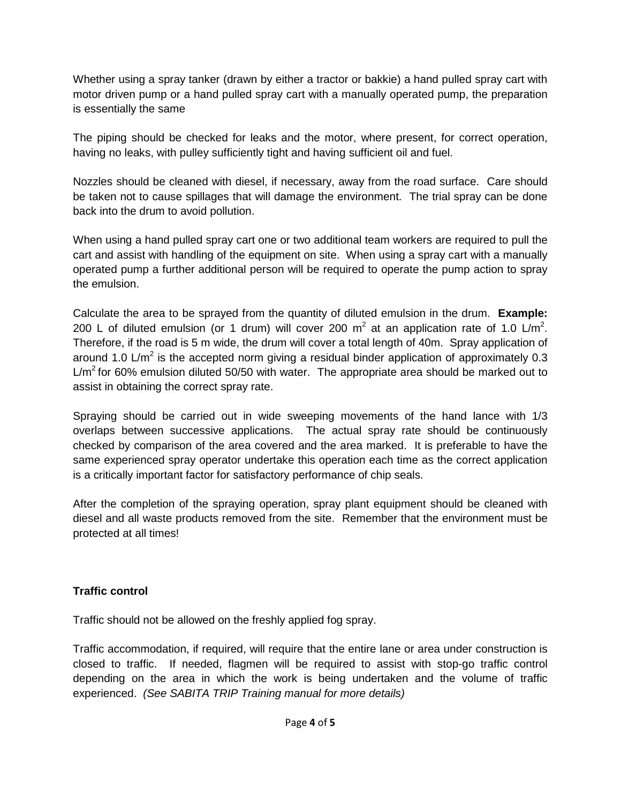Whether using a spray tanker (drawn by either a tractor or bakkie) a hand pulled spray cart with motor driven pump or a hand pulled spray cart with a manually operated pump, the preparation is essentially the same

The piping should be checked for leaks and the motor, where present, for correct operation, having no leaks, with pulley sufficiently tight and having sufficient oil and fuel.

Nozzles should be cleaned with diesel, if necessary, away from the road surface. Care should be taken not to cause spillages that will damage the environment. The trial spray can be done back into the drum to avoid pollution.

When using a hand pulled spray cart one or two additional team workers are required to pull the cart and assist with handling of the equipment on site. When using a spray cart with a manually operated pump a further additional person will be required to operate the pump action to spray the emulsion.

Calculate the area to be sprayed from the quantity of diluted emulsion in the drum. **Example:** 200 L of diluted emulsion (or 1 drum) will cover 200  $m^2$  at an application rate of 1.0 L/m<sup>2</sup>. Therefore, if the road is 5 m wide, the drum will cover a total length of 40m. Spray application of around 1.0 L/m<sup>2</sup> is the accepted norm giving a residual binder application of approximately 0.3  $L/m<sup>2</sup>$  for 60% emulsion diluted 50/50 with water. The appropriate area should be marked out to assist in obtaining the correct spray rate.

Spraying should be carried out in wide sweeping movements of the hand lance with 1/3 overlaps between successive applications. The actual spray rate should be continuously checked by comparison of the area covered and the area marked. It is preferable to have the same experienced spray operator undertake this operation each time as the correct application is a critically important factor for satisfactory performance of chip seals.

After the completion of the spraying operation, spray plant equipment should be cleaned with diesel and all waste products removed from the site. Remember that the environment must be protected at all times!

# **Traffic control**

Traffic should not be allowed on the freshly applied fog spray.

Traffic accommodation, if required, will require that the entire lane or area under construction is closed to traffic. If needed, flagmen will be required to assist with stop-go traffic control depending on the area in which the work is being undertaken and the volume of traffic experienced. (See SABITA TRIP Training manual for more details)